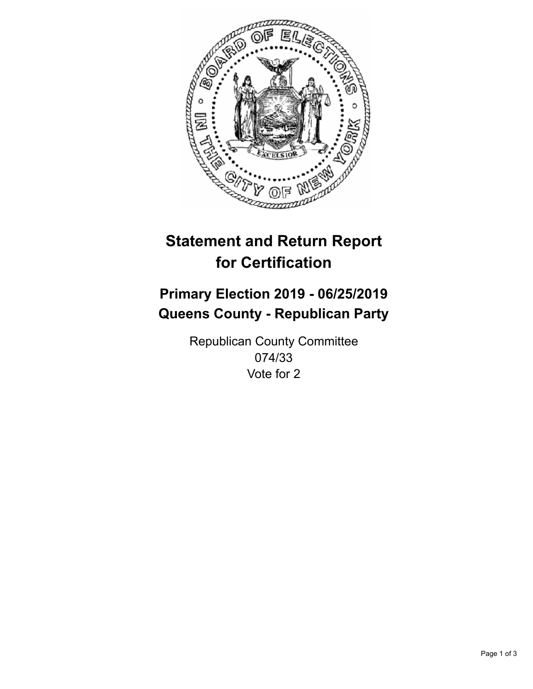

## **Statement and Return Report for Certification**

## **Primary Election 2019 - 06/25/2019 Queens County - Republican Party**

Republican County Committee 074/33 Vote for 2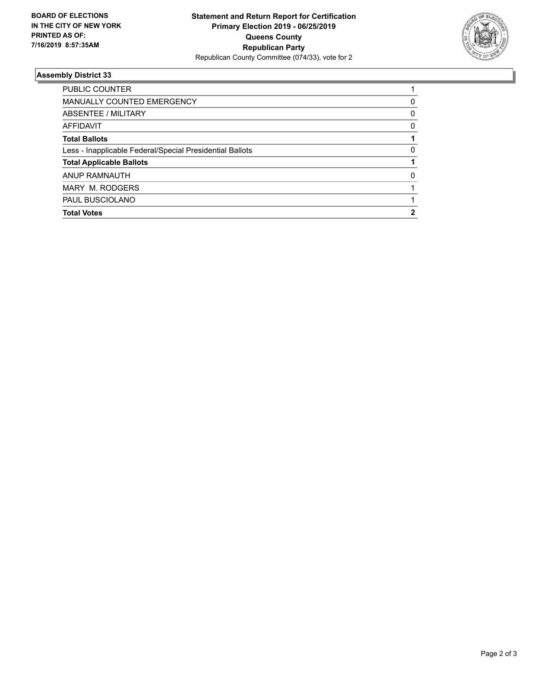

## **Assembly District 33**

| 0 |
|---|
| 0 |
| 0 |
|   |
| 0 |
|   |
| 0 |
|   |
|   |
|   |
|   |